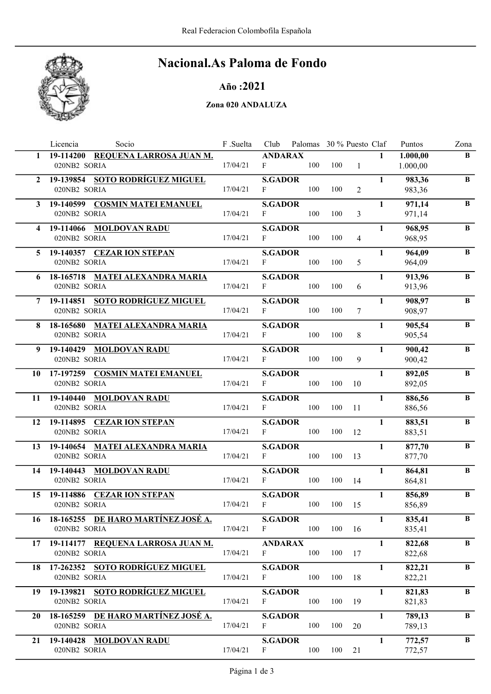

# Nacional.As Paloma de Fondo

### Año :2021

#### Zona 020 ANDALUZA

|                | Socio<br>Licencia                                    | F .Suelta | Club                           | Palomas 30 % Puesto Claf |     |                |              | Puntos               | Zona         |
|----------------|------------------------------------------------------|-----------|--------------------------------|--------------------------|-----|----------------|--------------|----------------------|--------------|
| $\mathbf{1}$   | 19-114200 REQUENA LARROSA JUAN M.<br>020NB2 SORIA    | 17/04/21  | <b>ANDARAX</b><br>F            | 100                      | 100 | $\mathbf{1}$   | $\mathbf{1}$ | 1.000,00<br>1.000,00 | $\bf{B}$     |
| $\mathbf{2}$   | 19-139854 SOTO RODRÍGUEZ MIGUEL<br>020NB2 SORIA      | 17/04/21  | <b>S.GADOR</b><br>F            | 100                      | 100 | $\overline{2}$ | $\mathbf{1}$ | 983,36<br>983,36     | $\, {\bf B}$ |
|                | 3 19-140599 COSMIN MATEI EMANUEL<br>020NB2 SORIA     | 17/04/21  | <b>S.GADOR</b><br>F            | 100                      | 100 | $\overline{3}$ | $\mathbf{1}$ | 971,14<br>971,14     | $\, {\bf B}$ |
| 4              | 19-114066 MOLDOVAN RADU<br>020NB2 SORIA              | 17/04/21  | <b>S.GADOR</b><br>F            | 100                      | 100 | $\overline{4}$ | $\mathbf{1}$ | 968,95<br>968,95     | $\bf{B}$     |
|                | 5 19-140357 CEZAR ION STEPAN<br>020NB2 SORIA         | 17/04/21  | <b>S.GADOR</b><br>F            | 100                      | 100 | 5              | $\mathbf{1}$ | 964,09<br>964,09     | B            |
| 6              | 18-165718 MATEI ALEXANDRA MARIA<br>020NB2 SORIA      | 17/04/21  | <b>S.GADOR</b><br>F            | 100                      | 100 | 6              | $\mathbf{1}$ | 913,96<br>913,96     | $\bf{B}$     |
| $\overline{7}$ | 19-114851 SOTO RODRÍGUEZ MIGUEL<br>020NB2 SORIA      | 17/04/21  | <b>S.GADOR</b><br>F            | 100                      | 100 | 7              | $\mathbf{1}$ | 908,97<br>908,97     | $\bf{B}$     |
| 8              | 18-165680 MATEI ALEXANDRA MARIA<br>020NB2 SORIA      | 17/04/21  | <b>S.GADOR</b><br>$\mathbf{F}$ | 100                      | 100 | 8              | $\mathbf{1}$ | 905,54<br>905,54     | $\, {\bf B}$ |
| 9              | 19-140429 MOLDOVAN RADU<br>020NB2 SORIA              | 17/04/21  | <b>S.GADOR</b><br>F            | 100                      | 100 | 9              | $\mathbf{1}$ | 900,42<br>900,42     | $\, {\bf B}$ |
| 10             | 17-197259 COSMIN MATEI EMANUEL<br>020NB2 SORIA       | 17/04/21  | <b>S.GADOR</b><br>F            | 100                      | 100 | 10             | $\mathbf{1}$ | 892,05<br>892,05     | $\, {\bf B}$ |
|                | 11 19-140440 MOLDOVAN RADU<br>020NB2 SORIA           | 17/04/21  | <b>S.GADOR</b><br>F            | 100                      | 100 | 11             | $\mathbf{1}$ | 886,56<br>886,56     | $\bf{B}$     |
| 12             | 19-114895 CEZAR ION STEPAN<br>020NB2 SORIA           | 17/04/21  | <b>S.GADOR</b><br>F            | 100                      | 100 | 12             | $\mathbf{1}$ | 883,51<br>883,51     | $\bf{B}$     |
| 13             | 19-140654 MATEI ALEXANDRA MARIA<br>020NB2 SORIA      | 17/04/21  | <b>S.GADOR</b><br>$\mathbf{F}$ | 100                      | 100 | 13             | $\mathbf{1}$ | 877,70<br>877,70     | $\bf{B}$     |
| 14             | 19-140443 MOLDOVAN RADU<br>020NB2 SORIA              | 17/04/21  | <b>S.GADOR</b><br>F            | 100                      | 100 | 14             | $\mathbf{1}$ | 864,81<br>864,81     | $\bf{B}$     |
| 15             | 19-114886 CEZAR ION STEPAN<br>020NB2 SORIA           | 17/04/21  | <b>S.GADOR</b><br>F            | 100                      | 100 | 15             | $\mathbf{1}$ | 856,89<br>856,89     | $\, {\bf B}$ |
| 16             | 18-165255 DE HARO MARTÍNEZ JOSÉ A.<br>020NB2 SORIA   | 17/04/21  | <b>S.GADOR</b><br>$\mathbf{F}$ | 100                      | 100 | 16             | $\mathbf{1}$ | 835,41<br>835,41     | B            |
|                | 17 19-114177 REQUENA LARROSA JUAN M.<br>020NB2 SORIA | 17/04/21  | <b>ANDARAX</b><br>F            | 100                      | 100 | 17             | $\mathbf{1}$ | 822,68<br>822,68     | B            |
| 18             | 17-262352 SOTO RODRÍGUEZ MIGUEL<br>020NB2 SORIA      | 17/04/21  | <b>S.GADOR</b><br>F            | 100                      | 100 | 18             | $\mathbf{1}$ | 822,21<br>822,21     | B            |
| 19             | 19-139821 SOTO RODRÍGUEZ MIGUEL<br>020NB2 SORIA      | 17/04/21  | <b>S.GADOR</b><br>F            | 100                      | 100 | 19             | $\mathbf{1}$ | 821,83<br>821,83     | B            |
| 20             | 18-165259 DE HARO MARTÍNEZ JOSÉ A.<br>020NB2 SORIA   | 17/04/21  | <b>S.GADOR</b><br>F            | 100                      | 100 | 20             | $\mathbf{1}$ | 789,13<br>789,13     | $\bf{B}$     |
| 21             | 19-140428 MOLDOVAN RADU<br>020NB2 SORIA              | 17/04/21  | <b>S.GADOR</b><br>F            | 100                      | 100 | 21             | $\mathbf{1}$ | 772,57<br>772,57     | $\bf{B}$     |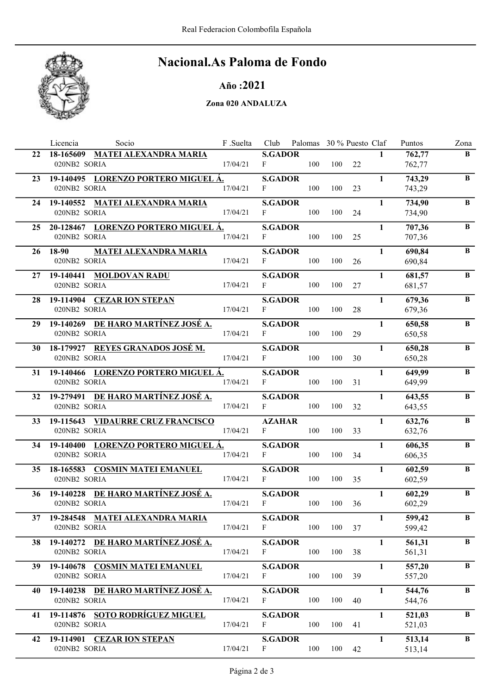

# Nacional.As Paloma de Fondo

### Año :2021

#### Zona 020 ANDALUZA

|    | Socio<br>Licencia                      | F .Suelta |                | Club Palomas 30 % Puesto Claf |     |    |              | Puntos | Zona         |
|----|----------------------------------------|-----------|----------------|-------------------------------|-----|----|--------------|--------|--------------|
| 22 | 18-165609 MATEI ALEXANDRA MARIA        |           | <b>S.GADOR</b> |                               |     |    | $\mathbf{1}$ | 762,77 | B            |
|    | 020NB2 SORIA                           | 17/04/21  | $\mathbf{F}$   | 100                           | 100 | 22 |              | 762,77 |              |
| 23 | 19-140495 LORENZO PORTERO MIGUEL Á.    |           | <b>S.GADOR</b> |                               |     |    | $\mathbf{1}$ | 743,29 | $\, {\bf B}$ |
|    | 020NB2 SORIA                           | 17/04/21  | $\mathbf{F}$   | 100                           | 100 | 23 |              | 743,29 |              |
| 24 | 19-140552 MATEI ALEXANDRA MARIA        |           | <b>S.GADOR</b> |                               |     |    | $\mathbf{1}$ | 734,90 | B            |
|    | 020NB2 SORIA                           | 17/04/21  | F              | 100                           | 100 | 24 |              | 734,90 |              |
|    | 25 20-128467 LORENZO PORTERO MIGUEL Á. |           | <b>S.GADOR</b> |                               |     |    | $\mathbf{1}$ | 707,36 | $\, {\bf B}$ |
|    | 020NB2 SORIA                           | 17/04/21  | $\mathbf{F}$   | 100                           | 100 | 25 |              | 707,36 |              |
| 26 | <b>MATEI ALEXANDRA MARIA</b><br>18-90  |           | <b>S.GADOR</b> |                               |     |    | $\mathbf{1}$ | 690,84 | B            |
|    | 020NB2 SORIA                           | 17/04/21  | F              | 100                           | 100 | 26 |              | 690,84 |              |
| 27 | 19-140441 MOLDOVAN RADU                |           | <b>S.GADOR</b> |                               |     |    | $\mathbf{1}$ | 681,57 | $\bf{B}$     |
|    | 020NB2 SORIA                           | 17/04/21  | $\mathbf{F}$   | 100                           | 100 | 27 |              | 681,57 |              |
| 28 | 19-114904 CEZAR ION STEPAN             |           | <b>S.GADOR</b> |                               |     |    | $\mathbf{1}$ | 679,36 | $\, {\bf B}$ |
|    | 020NB2 SORIA                           | 17/04/21  | F              | 100                           | 100 | 28 |              | 679,36 |              |
| 29 | 19-140269 DE HARO MARTÍNEZ JOSÉ A.     |           | <b>S.GADOR</b> |                               |     |    | $\mathbf{1}$ | 650,58 | $\, {\bf B}$ |
|    | 020NB2 SORIA                           | 17/04/21  | $\mathbf{F}$   | 100                           | 100 | 29 |              | 650,58 |              |
| 30 | 18-179927 REYES GRANADOS JOSÉ M.       |           | <b>S.GADOR</b> |                               |     |    | $\mathbf{1}$ | 650,28 | $\, {\bf B}$ |
|    | 020NB2 SORIA                           | 17/04/21  | F              | 100                           | 100 | 30 |              | 650,28 |              |
| 31 | 19-140466 LORENZO PORTERO MIGUEL Á.    |           | <b>S.GADOR</b> |                               |     |    | $\mathbf{1}$ | 649,99 | $\, {\bf B}$ |
|    | 020NB2 SORIA                           | 17/04/21  | $\mathbf{F}$   | 100                           | 100 | 31 |              | 649,99 |              |
|    | 32 19-279491 DE HARO MARTÍNEZ JOSÉ A.  |           | <b>S.GADOR</b> |                               |     |    | $\mathbf{1}$ | 643,55 | B            |
|    | 020NB2 SORIA                           | 17/04/21  | F              | 100                           | 100 | 32 |              | 643,55 |              |
| 33 | 19-115643 VIDAURRE CRUZ FRANCISCO      |           | <b>AZAHAR</b>  |                               |     |    | $\mathbf{1}$ | 632,76 | $\bf{B}$     |
|    | 020NB2 SORIA                           | 17/04/21  | F              | 100                           | 100 | 33 |              | 632,76 |              |
| 34 | 19-140400 LORENZO PORTERO MIGUEL Á.    |           | <b>S.GADOR</b> |                               |     |    | $\mathbf{1}$ | 606,35 | $\bf{B}$     |
|    | 020NB2 SORIA                           | 17/04/21  | $\mathbf{F}$   | 100                           | 100 | 34 |              | 606,35 |              |
| 35 | 18-165583 COSMIN MATEI EMANUEL         |           | <b>S.GADOR</b> |                               |     |    | $\mathbf{1}$ | 602,59 | $\bf{B}$     |
|    | 020NB2 SORIA                           | 17/04/21  | F              | 100                           | 100 | 35 |              | 602,59 |              |
| 36 | 19-140228 DE HARO MARTÍNEZ JOSÉ A.     |           | <b>S.GADOR</b> |                               |     |    | $\mathbf{1}$ | 602,29 | $\, {\bf B}$ |
|    | 020NB2 SORIA                           | 17/04/21  | $\mathbf{F}$   | 100                           | 100 | 36 |              | 602,29 |              |
|    | 37 19-284548 MATEI ALEXANDRA MARIA     |           | <b>S.GADOR</b> |                               |     |    | $\mathbf{1}$ | 599,42 | B            |
|    | 020NB2 SORIA                           | 17/04/21  | $\mathbf{F}$   | 100                           | 100 | 37 |              | 599,42 |              |
| 38 | 19-140272 DE HARO MARTÍNEZ JOSÉ A.     |           | <b>S.GADOR</b> |                               |     |    | $\mathbf{1}$ | 561,31 | B            |
|    | 020NB2 SORIA                           | 17/04/21  | F              | 100                           | 100 | 38 |              | 561,31 |              |
| 39 | 19-140678 COSMIN MATEI EMANUEL         |           | <b>S.GADOR</b> |                               |     |    | $\mathbf{1}$ | 557,20 | B            |
|    | 020NB2 SORIA                           | 17/04/21  | F              | 100                           | 100 | 39 |              | 557,20 |              |
| 40 | 19-140238 DE HARO MARTÍNEZ JOSÉ A.     |           | <b>S.GADOR</b> |                               |     |    | $\mathbf{1}$ | 544,76 | $\, {\bf B}$ |
|    | 020NB2 SORIA                           | 17/04/21  | F              | 100                           | 100 | 40 |              | 544,76 |              |
| 41 | 19-114876 SOTO RODRÍGUEZ MIGUEL        |           | <b>S.GADOR</b> |                               |     |    | $\mathbf{1}$ | 521,03 | B            |
|    | 020NB2 SORIA                           | 17/04/21  | F              | 100                           | 100 | 41 |              | 521,03 |              |
| 42 | 19-114901 CEZAR ION STEPAN             |           | <b>S.GADOR</b> |                               |     |    | $\mathbf{1}$ | 513,14 | $\bf{B}$     |
|    | 020NB2 SORIA                           | 17/04/21  | F              | 100                           | 100 | 42 |              | 513,14 |              |
|    |                                        |           |                |                               |     |    |              |        |              |